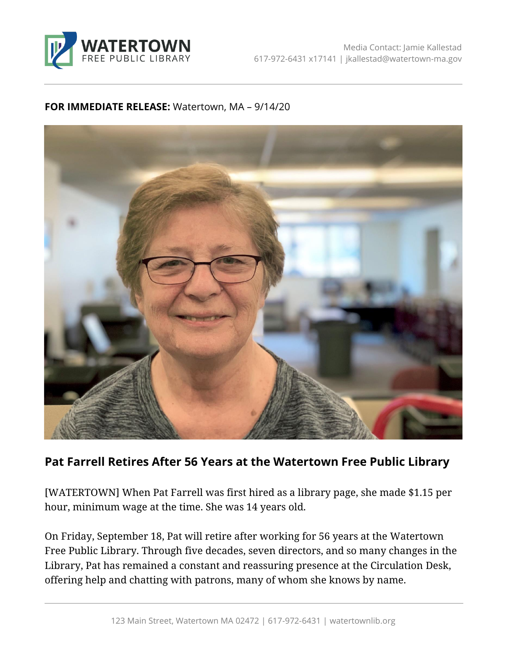

## **FOR IMMEDIATE RELEASE:** Watertown, MA – 9/14/20



## **Pat Farrell Retires After 56 Years at the Watertown Free Public Library**

[WATERTOWN] When Pat Farrell was first hired as a library page, she made \$1.15 per hour, minimum wage at the time. She was 14 years old.

On Friday, September 18, Pat will retire after working for 56 years at the Watertown Free Public Library. Through five decades, seven directors, and so many changes in the Library, Pat has remained a constant and reassuring presence at the Circulation Desk, offering help and chatting with patrons, many of whom she knows by name.